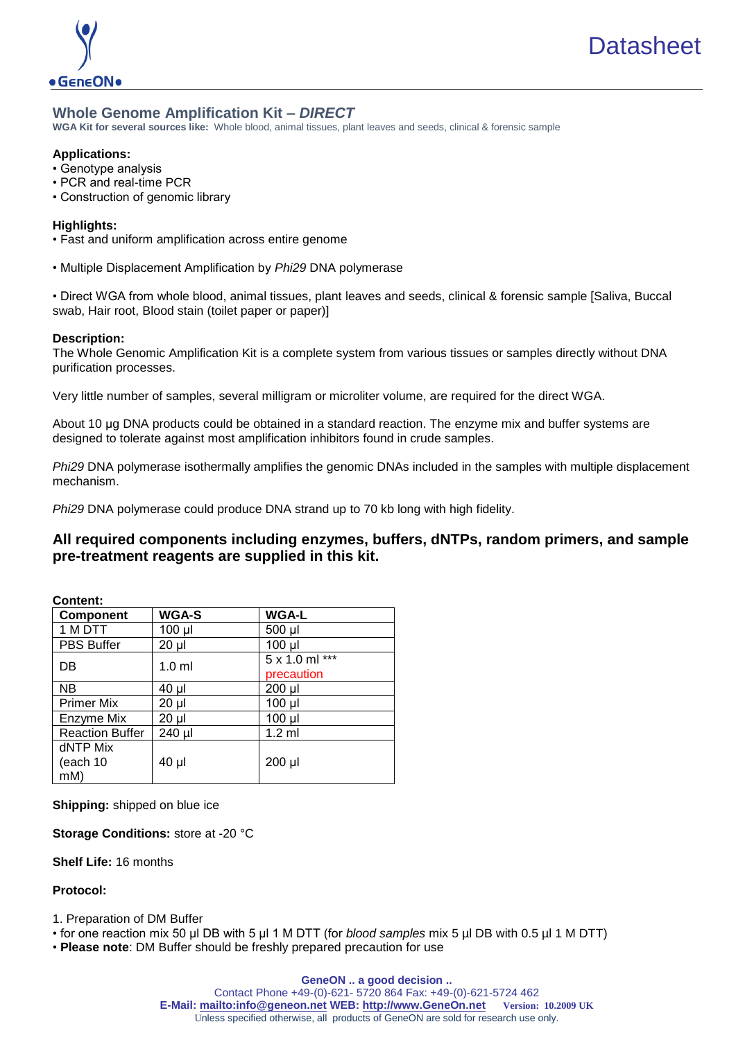

# **Whole Genome Amplification Kit –** *DIRECT*

**WGA Kit for several sources like:** Whole blood, animal tissues, plant leaves and seeds, clinical & forensic sample

#### **Applications:**

- Genotype analysis
- PCR and real-time PCR
- Construction of genomic library

### **Highlights:**

- Fast and uniform amplification across entire genome
- Multiple Displacement Amplification by *Phi29* DNA polymerase

• Direct WGA from whole blood, animal tissues, plant leaves and seeds, clinical & forensic sample [Saliva, Buccal swab, Hair root, Blood stain (toilet paper or paper)]

### **Description:**

The Whole Genomic Amplification Kit is a complete system from various tissues or samples directly without DNA purification processes.

Very little number of samples, several milligram or microliter volume, are required for the direct WGA.

About 10 μg DNA products could be obtained in a standard reaction. The enzyme mix and buffer systems are designed to tolerate against most amplification inhibitors found in crude samples.

*Phi29* DNA polymerase isothermally amplifies the genomic DNAs included in the samples with multiple displacement mechanism.

*Phi29* DNA polymerase could produce DNA strand up to 70 kb long with high fidelity.

# **All required components including enzymes, buffers, dNTPs, random primers, and sample pre-treatment reagents are supplied in this kit.**

| <b>Content:</b> |  |
|-----------------|--|
|                 |  |

| Component              | <b>WGA-S</b>     | <b>WGA-L</b>   |
|------------------------|------------------|----------------|
| 1 M DTT                | 100 µl           | 500 µl         |
| <b>PBS Buffer</b>      | $20 \mu$         | $100$ $\mu$    |
| DB                     | 1.0 <sub>m</sub> | 5 x 1.0 ml *** |
|                        |                  | precaution     |
| <b>NB</b>              | $40 \mu$         | $200$ µl       |
| <b>Primer Mix</b>      | $20 \mu$         | $100$ $\mu$    |
| Enzyme Mix             | $20 \mu$         | $100$ $\mu$    |
| <b>Reaction Buffer</b> | 240 µl           | $1.2$ ml       |
| dNTP Mix               |                  |                |
| (each 10               | $40 \mu$         | 200 µl         |
| mM)                    |                  |                |

**Shipping:** shipped on blue ice

**Storage Conditions:** store at -20 °C

**Shelf Life:** 16 months

**Protocol:**

1. Preparation of DM Buffer

• for one reaction mix 50 µl DB with 5 µl 1 M DTT (for *blood samples* mix 5 µl DB with 0.5 µl 1 M DTT)

• **Please note**: DM Buffer should be freshly prepared precaution for use